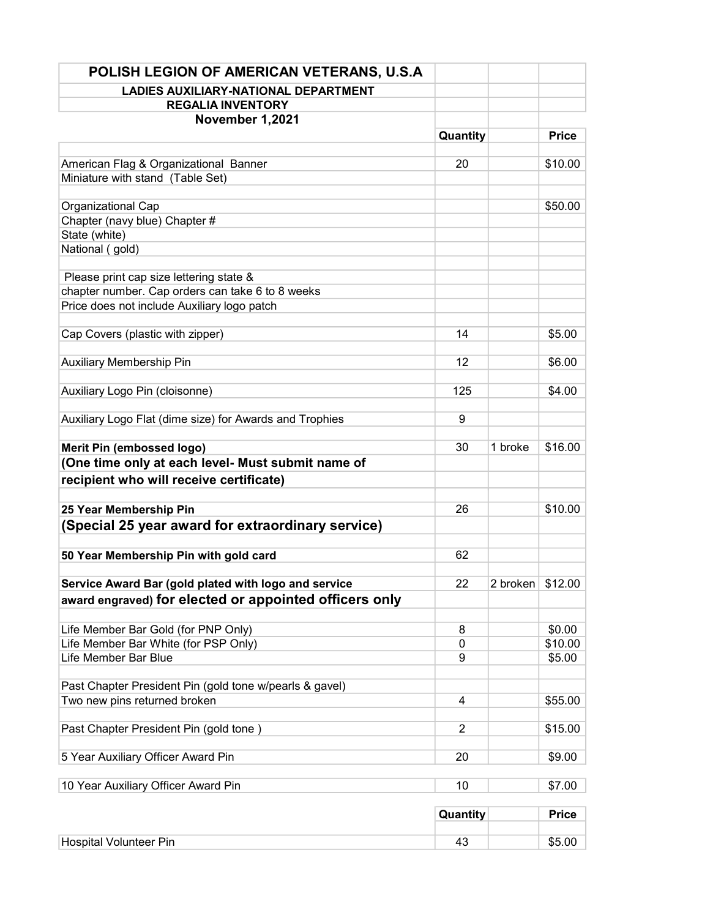| POLISH LEGION OF AMERICAN VETERANS, U.S.A               |                |                  |              |
|---------------------------------------------------------|----------------|------------------|--------------|
| <b>LADIES AUXILIARY-NATIONAL DEPARTMENT</b>             |                |                  |              |
| <b>REGALIA INVENTORY</b>                                |                |                  |              |
| November 1,2021                                         |                |                  |              |
|                                                         | Quantity       |                  | <b>Price</b> |
| American Flag & Organizational Banner                   | 20             |                  | \$10.00      |
| Miniature with stand (Table Set)                        |                |                  |              |
|                                                         |                |                  |              |
| Organizational Cap                                      |                |                  | \$50.00      |
| Chapter (navy blue) Chapter #                           |                |                  |              |
| State (white)                                           |                |                  |              |
| National (gold)                                         |                |                  |              |
| Please print cap size lettering state &                 |                |                  |              |
| chapter number. Cap orders can take 6 to 8 weeks        |                |                  |              |
| Price does not include Auxiliary logo patch             |                |                  |              |
|                                                         |                |                  |              |
| Cap Covers (plastic with zipper)                        | 14             |                  | \$5.00       |
| <b>Auxiliary Membership Pin</b>                         | 12             |                  | \$6.00       |
|                                                         |                |                  |              |
| Auxiliary Logo Pin (cloisonne)                          | 125            |                  | \$4.00       |
| Auxiliary Logo Flat (dime size) for Awards and Trophies | 9              |                  |              |
|                                                         |                |                  |              |
| Merit Pin (embossed logo)                               | 30             | 1 broke          | \$16.00      |
| (One time only at each level- Must submit name of       |                |                  |              |
| recipient who will receive certificate)                 |                |                  |              |
| 25 Year Membership Pin                                  | 26             |                  | \$10.00      |
| (Special 25 year award for extraordinary service)       |                |                  |              |
|                                                         |                |                  |              |
| 50 Year Membership Pin with gold card                   | 62             |                  |              |
|                                                         |                |                  |              |
| Service Award Bar (gold plated with logo and service    | 22             | 2 broken \$12.00 |              |
| award engraved) for elected or appointed officers only  |                |                  |              |
| Life Member Bar Gold (for PNP Only)                     | 8              |                  | \$0.00       |
| Life Member Bar White (for PSP Only)                    | 0              |                  | \$10.00      |
| Life Member Bar Blue                                    | 9              |                  | \$5.00       |
|                                                         |                |                  |              |
| Past Chapter President Pin (gold tone w/pearls & gavel) |                |                  |              |
| Two new pins returned broken                            | 4              |                  | \$55.00      |
| Past Chapter President Pin (gold tone)                  | $\overline{2}$ |                  | \$15.00      |
|                                                         |                |                  |              |
| 5 Year Auxiliary Officer Award Pin                      | 20             |                  | \$9.00       |
| 10 Year Auxiliary Officer Award Pin                     | 10             |                  | \$7.00       |
|                                                         |                |                  |              |
|                                                         | Quantity       |                  | <b>Price</b> |
| <b>Hospital Volunteer Pin</b>                           | 43             |                  | \$5.00       |
|                                                         |                |                  |              |